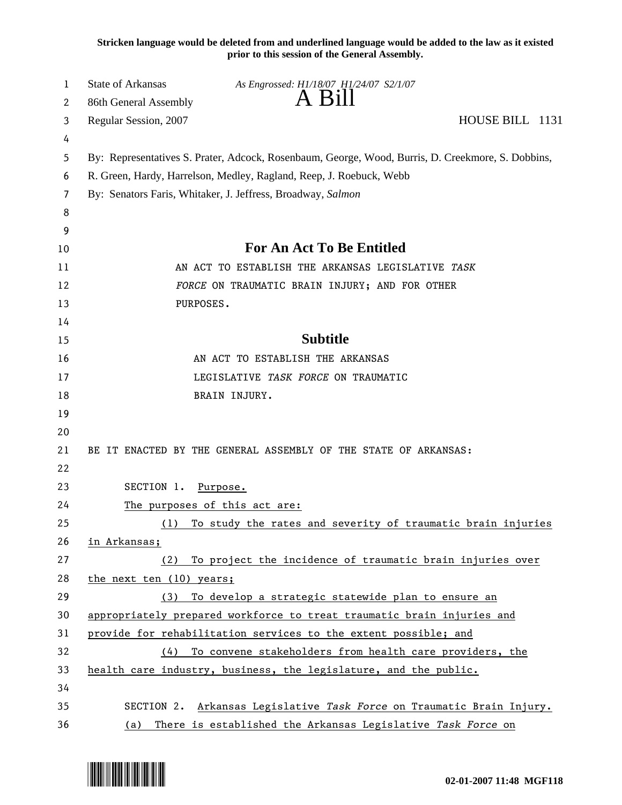**Stricken language would be deleted from and underlined language would be added to the law as it existed prior to this session of the General Assembly.**

| 1      | State of Arkansas                                                   | As Engrossed: H1/18/07 H1/24/07 S2/1/07<br>A Bill                                                 |                 |  |  |
|--------|---------------------------------------------------------------------|---------------------------------------------------------------------------------------------------|-----------------|--|--|
| 2      | 86th General Assembly                                               |                                                                                                   | HOUSE BILL 1131 |  |  |
| 3      | Regular Session, 2007                                               |                                                                                                   |                 |  |  |
| 4<br>5 |                                                                     | By: Representatives S. Prater, Adcock, Rosenbaum, George, Wood, Burris, D. Creekmore, S. Dobbins, |                 |  |  |
| 6      | R. Green, Hardy, Harrelson, Medley, Ragland, Reep, J. Roebuck, Webb |                                                                                                   |                 |  |  |
| 7      | By: Senators Faris, Whitaker, J. Jeffress, Broadway, Salmon         |                                                                                                   |                 |  |  |
| 8      |                                                                     |                                                                                                   |                 |  |  |
| 9      |                                                                     |                                                                                                   |                 |  |  |
| 10     | <b>For An Act To Be Entitled</b>                                    |                                                                                                   |                 |  |  |
| 11     |                                                                     | AN ACT TO ESTABLISH THE ARKANSAS LEGISLATIVE TASK                                                 |                 |  |  |
| 12     |                                                                     | FORCE ON TRAUMATIC BRAIN INJURY; AND FOR OTHER                                                    |                 |  |  |
| 13     | PURPOSES.                                                           |                                                                                                   |                 |  |  |
| 14     |                                                                     |                                                                                                   |                 |  |  |
| 15     |                                                                     | <b>Subtitle</b>                                                                                   |                 |  |  |
| 16     |                                                                     | AN ACT TO ESTABLISH THE ARKANSAS                                                                  |                 |  |  |
| 17     |                                                                     | LEGISLATIVE TASK FORCE ON TRAUMATIC                                                               |                 |  |  |
| 18     |                                                                     | BRAIN INJURY.                                                                                     |                 |  |  |
| 19     |                                                                     |                                                                                                   |                 |  |  |
| 20     |                                                                     |                                                                                                   |                 |  |  |
| 21     |                                                                     | BE IT ENACTED BY THE GENERAL ASSEMBLY OF THE STATE OF ARKANSAS:                                   |                 |  |  |
| 22     |                                                                     |                                                                                                   |                 |  |  |
| 23     | SECTION 1.                                                          | Purpose.                                                                                          |                 |  |  |
| 24     | The purposes of this act are:                                       |                                                                                                   |                 |  |  |
| 25     | (1)                                                                 | To study the rates and severity of traumatic brain injuries                                       |                 |  |  |
| 26     | in Arkansas;                                                        |                                                                                                   |                 |  |  |
| 27     | (2)                                                                 | To project the incidence of traumatic brain injuries over                                         |                 |  |  |
| 28     | the next ten (10) years;                                            |                                                                                                   |                 |  |  |
| 29     | (3)                                                                 | To develop a strategic statewide plan to ensure an                                                |                 |  |  |
| 30     |                                                                     | appropriately prepared workforce to treat traumatic brain injuries and                            |                 |  |  |
| 31     |                                                                     | provide for rehabilitation services to the extent possible; and                                   |                 |  |  |
| 32     | (4)                                                                 | To convene stakeholders from health care providers, the                                           |                 |  |  |
| 33     |                                                                     | health care industry, business, the legislature, and the public.                                  |                 |  |  |
| 34     |                                                                     |                                                                                                   |                 |  |  |
| 35     | SECTION 2.                                                          | Arkansas Legislative Task Force on Traumatic Brain Injury.                                        |                 |  |  |
| 36     | (a)                                                                 | There is established the Arkansas Legislative Task Force on                                       |                 |  |  |

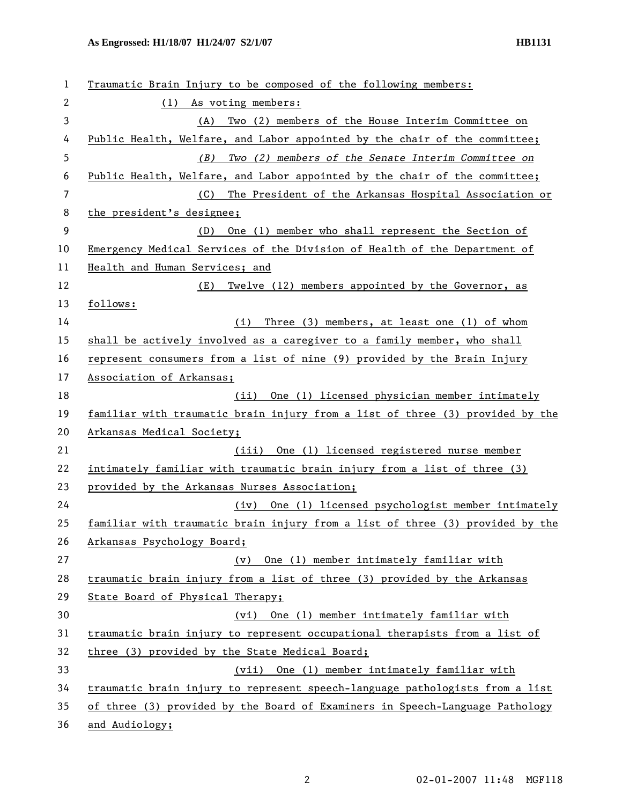| 1            | Traumatic Brain Injury to be composed of the following members:               |
|--------------|-------------------------------------------------------------------------------|
| $\mathbf{2}$ | (1) As voting members:                                                        |
| 3            | Two (2) members of the House Interim Committee on<br>(A)                      |
| 4            | Public Health, Welfare, and Labor appointed by the chair of the committee;    |
| 5            | (B)<br>Two (2) members of the Senate Interim Committee on                     |
| 6            | Public Health, Welfare, and Labor appointed by the chair of the committee;    |
| 7            | The President of the Arkansas Hospital Association or<br>(C)                  |
| 8            | the president's designee;                                                     |
| 9            | One (1) member who shall represent the Section of<br>(D)                      |
| 10           | Emergency Medical Services of the Division of Health of the Department of     |
| 11           | Health and Human Services; and                                                |
| 12           | Twelve (12) members appointed by the Governor, as<br>(E)                      |
| 13           | follows:                                                                      |
| 14           | Three (3) members, at least one (1) of whom<br>(i)                            |
| 15           | shall be actively involved as a caregiver to a family member, who shall       |
| 16           | represent consumers from a list of nine (9) provided by the Brain Injury      |
| 17           | Association of Arkansas;                                                      |
| 18           | One (1) licensed physician member intimately<br>(ii)                          |
| 19           | familiar with traumatic brain injury from a list of three (3) provided by the |
| 20           | Arkansas Medical Society;                                                     |
| 21           | (iii) One (1) licensed registered nurse member                                |
| 22           | intimately familiar with traumatic brain injury from a list of three (3)      |
| 23           | provided by the Arkansas Nurses Association;                                  |
| 24           | One (1) licensed psychologist member intimately<br>(iv)                       |
| 25           | familiar with traumatic brain injury from a list of three (3) provided by the |
| 26           | Arkansas Psychology Board;                                                    |
| 27           | One (1) member intimately familiar with<br>(v)                                |
| 28           | traumatic brain injury from a list of three (3) provided by the Arkansas      |
| 29           | State Board of Physical Therapy;                                              |
| 30           | (vi) One (1) member intimately familiar with                                  |
| 31           | traumatic brain injury to represent occupational therapists from a list of    |
| 32           | three (3) provided by the State Medical Board;                                |
| 33           | (vii) One (1) member intimately familiar with                                 |
| 34           | traumatic brain injury to represent speech-language pathologists from a list  |
| 35           | of three (3) provided by the Board of Examiners in Speech-Language Pathology  |
| 36           | and Audiology;                                                                |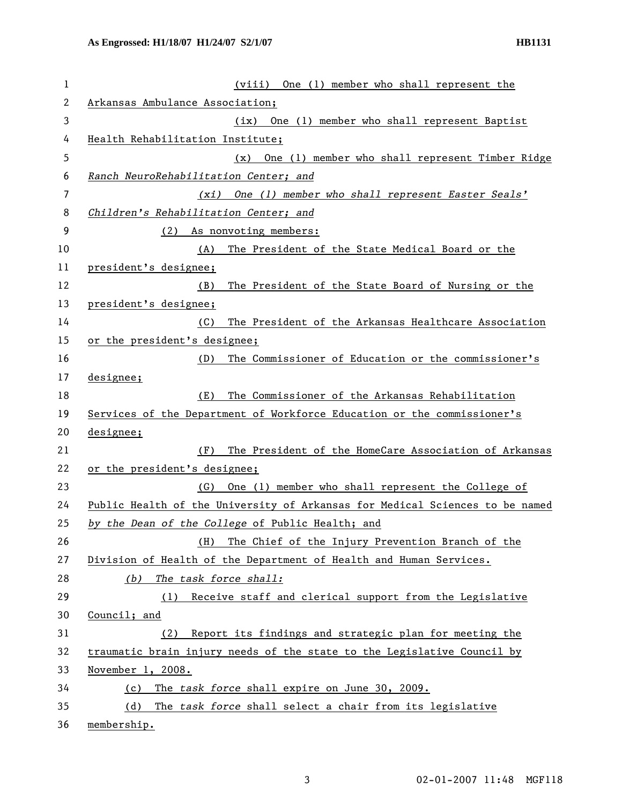| 1  | (viii) One (1) member who shall represent the                                |  |  |
|----|------------------------------------------------------------------------------|--|--|
| 2  | Arkansas Ambulance Association;                                              |  |  |
| 3  | (ix) One (1) member who shall represent Baptist                              |  |  |
| 4  | Health Rehabilitation Institute;                                             |  |  |
| 5  | One (1) member who shall represent Timber Ridge<br>(x)                       |  |  |
| 6  | Ranch NeuroRehabilitation Center; and                                        |  |  |
| 7  | (xi) One (1) member who shall represent Easter Seals'                        |  |  |
| 8  | Children's Rehabilitation Center; and                                        |  |  |
| 9  | (2) As nonvoting members:                                                    |  |  |
| 10 | (A)<br>The President of the State Medical Board or the                       |  |  |
| 11 | president's designee;                                                        |  |  |
| 12 | (B)<br>The President of the State Board of Nursing or the                    |  |  |
| 13 | president's designee;                                                        |  |  |
| 14 | (C)<br>The President of the Arkansas Healthcare Association                  |  |  |
| 15 | or the president's designee;                                                 |  |  |
| 16 | The Commissioner of Education or the commissioner's<br>(D)                   |  |  |
| 17 | designee;                                                                    |  |  |
| 18 | (E)<br>The Commissioner of the Arkansas Rehabilitation                       |  |  |
| 19 | Services of the Department of Workforce Education or the commissioner's      |  |  |
| 20 | designee;                                                                    |  |  |
| 21 | The President of the HomeCare Association of Arkansas<br>(F)                 |  |  |
| 22 | or the president's designee;                                                 |  |  |
| 23 | One (1) member who shall represent the College of<br>(G)                     |  |  |
| 24 | Public Health of the University of Arkansas for Medical Sciences to be named |  |  |
| 25 | by the Dean of the College of Public Health; and                             |  |  |
| 26 | The Chief of the Injury Prevention Branch of the<br>(H)                      |  |  |
| 27 | Division of Health of the Department of Health and Human Services.           |  |  |
| 28 | The task force shall:<br>(b)                                                 |  |  |
| 29 | Receive staff and clerical support from the Legislative<br>(1)               |  |  |
| 30 | Council; and                                                                 |  |  |
| 31 | Report its findings and strategic plan for meeting the<br>(2)                |  |  |
| 32 | traumatic brain injury needs of the state to the Legislative Council by      |  |  |
| 33 | November $1, 2008$ .                                                         |  |  |
| 34 | The task force shall expire on June 30, 2009.<br>(c)                         |  |  |
| 35 | (d)<br>The task force shall select a chair from its legislative              |  |  |
| 36 | membership.                                                                  |  |  |